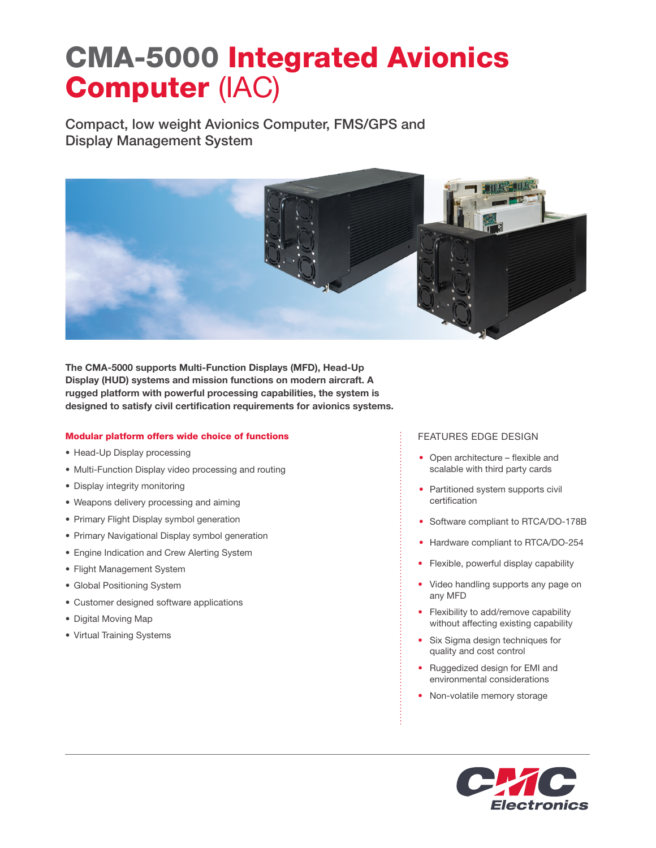# CMA-5000 Integrated Avionics Computer (IAC)

Compact, low weight Avionics Computer, FMS/GPS and Display Management System



The CMA-5000 supports Multi-Function Displays (MFD), Head-Up Display (HUD) systems and mission functions on modern aircraft. A rugged platform with powerful processing capabilities, the system is designed to satisfy civil certification requirements for avionics systems.

## Modular platform offers wide choice of functions

- Head-Up Display processing
- Multi-Function Display video processing and routing
- Display integrity monitoring
- Weapons delivery processing and aiming
- Primary Flight Display symbol generation
- Primary Navigational Display symbol generation
- Engine Indication and Crew Alerting System
- Flight Management System
- Global Positioning System
- Customer designed software applications
- Digital Moving Map
- Virtual Training Systems

## FEATURES EDGE DESIGN

- Open architecture flexible and scalable with third party cards
- Partitioned system supports civil certification
- Software compliant to RTCA/DO-178B
- Hardware compliant to RTCA/DO-254
- Flexible, powerful display capability
- Video handling supports any page on any MFD
- Flexibility to add/remove capability without affecting existing capability
- Six Sigma design techniques for quality and cost control
- Ruggedized design for EMI and environmental considerations
- Non-volatile memory storage